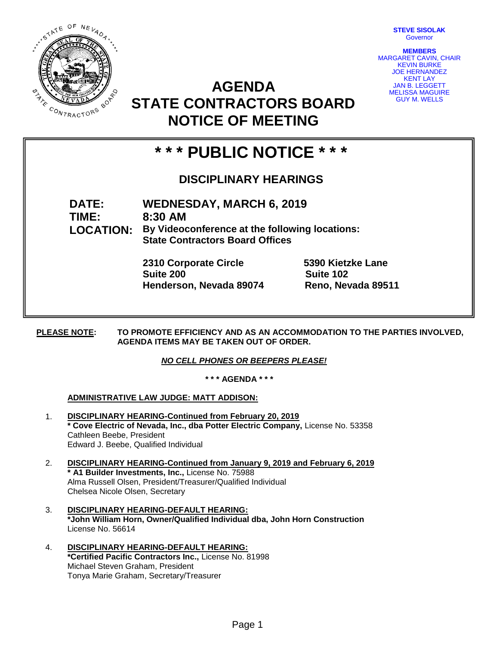**STEVE SISOLAK** Governor



**AGENDA STATE CONTRACTORS BOARD NOTICE OF MEETING**

**MEMBERS** MARGARET CAVIN, CHAIR KEVIN BURKE JOE HERNANDEZ KENT LAY JAN B. LEGGETT MELISSA MAGUIRE GUY M. WELLS

# **\* \* \* PUBLIC NOTICE \* \* \***

# **DISCIPLINARY HEARINGS**

**DATE: WEDNESDAY, MARCH 6, 2019**

**TIME: 8:30 AM LOCATION: By Videoconference at the following locations: State Contractors Board Offices**

> **2310 Corporate Circle 5390 Kietzke Lane Suite 200 Suite 102 Henderson, Nevada 89074 Reno, Nevada 89511**

**PLEASE NOTE: TO PROMOTE EFFICIENCY AND AS AN ACCOMMODATION TO THE PARTIES INVOLVED, AGENDA ITEMS MAY BE TAKEN OUT OF ORDER.** 

## *NO CELL PHONES OR BEEPERS PLEASE!*

**\* \* \* AGENDA \* \* \***

### **ADMINISTRATIVE LAW JUDGE: MATT ADDISON:**

- 1. **DISCIPLINARY HEARING-Continued from February 20, 2019 \* Cove Electric of Nevada, Inc., dba Potter Electric Company,** License No. 53358 Cathleen Beebe, President Edward J. Beebe, Qualified Individual
- 2. **DISCIPLINARY HEARING-Continued from January 9, 2019 and February 6, 2019 \* A1 Builder Investments, Inc.,** License No. 75988 Alma Russell Olsen, President/Treasurer/Qualified Individual Chelsea Nicole Olsen, Secretary
- 3. **DISCIPLINARY HEARING-DEFAULT HEARING: \*John William Horn, Owner/Qualified Individual dba, John Horn Construction** License No. 56614
- 4. **DISCIPLINARY HEARING-DEFAULT HEARING: \*Certified Pacific Contractors Inc.,** License No. 81998 Michael Steven Graham, President Tonya Marie Graham, Secretary/Treasurer